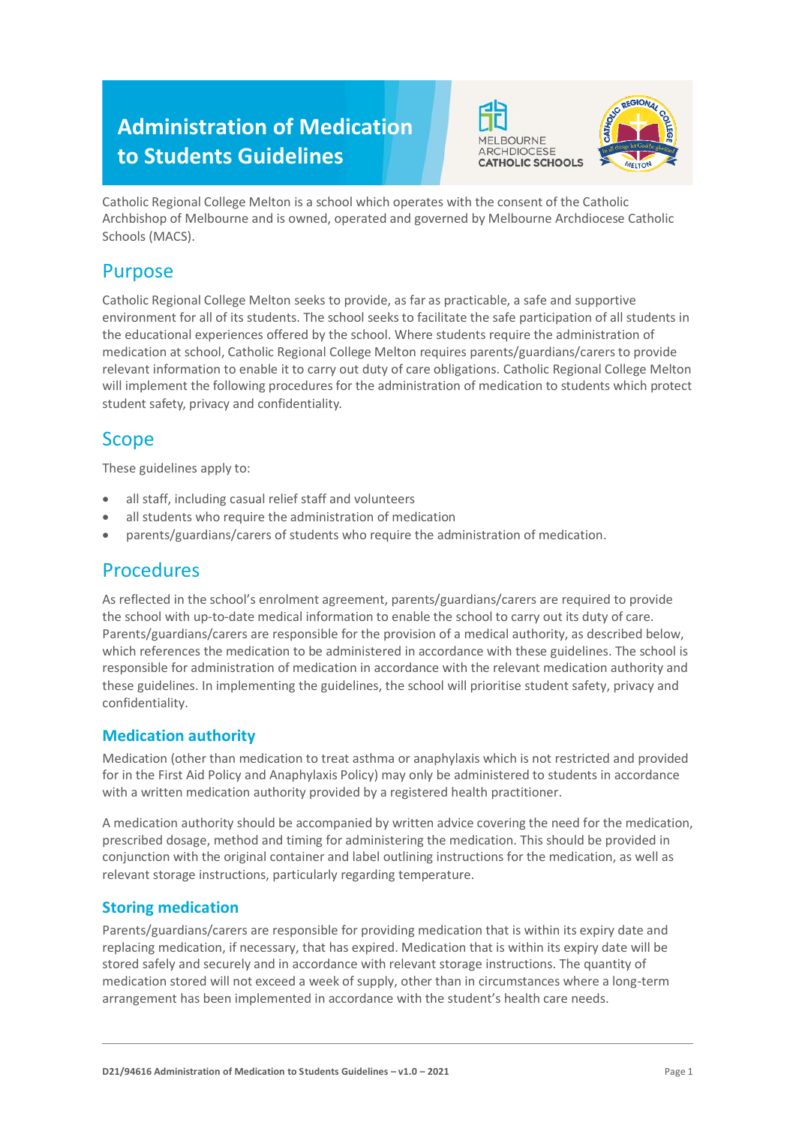# **Administration of Medication to Students Guidelines**





Catholic Regional College Melton is a school which operates with the consent of the Catholic Archbishop of Melbourne and is owned, operated and governed by Melbourne Archdiocese Catholic Schools (MACS).

### Purpose

Catholic Regional College Melton seeks to provide, as far as practicable, a safe and supportive environment for all of its students. The school seeks to facilitate the safe participation of all students in the educational experiences offered by the school. Where students require the administration of medication at school, Catholic Regional College Melton requires parents/guardians/carers to provide relevant information to enable it to carry out duty of care obligations. Catholic Regional College Melton will implement the following procedures for the administration of medication to students which protect student safety, privacy and confidentiality.

## Scope

These guidelines apply to:

- all staff, including casual relief staff and volunteers
- all students who require the administration of medication
- parents/guardians/carers of students who require the administration of medication.

### **Procedures**

As reflected in the school's enrolment agreement, parents/guardians/carers are required to provide the school with up-to-date medical information to enable the school to carry out its duty of care. Parents/guardians/carers are responsible for the provision of a medical authority, as described below, which references the medication to be administered in accordance with these guidelines. The school is responsible for administration of medication in accordance with the relevant medication authority and these guidelines. In implementing the guidelines, the school will prioritise student safety, privacy and confidentiality.

### **Medication authority**

Medication (other than medication to treat asthma or anaphylaxis which is not restricted and provided for in the First Aid Policy and Anaphylaxis Policy) may only be administered to students in accordance with a written medication authority provided by a registered health practitioner.

A medication authority should be accompanied by written advice covering the need for the medication, prescribed dosage, method and timing for administering the medication. This should be provided in conjunction with the original container and label outlining instructions for the medication, as well as relevant storage instructions, particularly regarding temperature.

### **Storing medication**

Parents/guardians/carers are responsible for providing medication that is within its expiry date and replacing medication, if necessary, that has expired. Medication that is within its expiry date will be stored safely and securely and in accordance with relevant storage instructions. The quantity of medication stored will not exceed a week of supply, other than in circumstances where a long-term arrangement has been implemented in accordance with the student's health care needs.